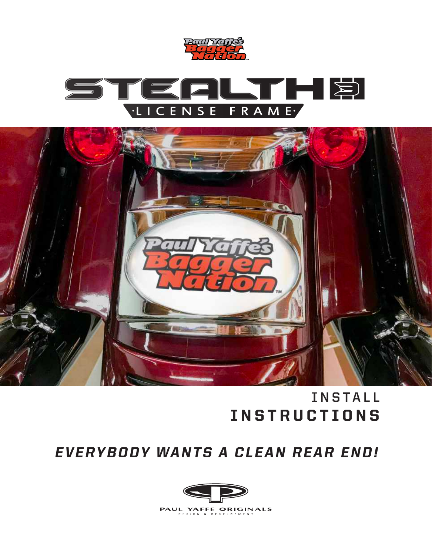





## **INSTALL** INSTRUCTIONS

### EVERYBODY WANTS A CLEAN REAR END!

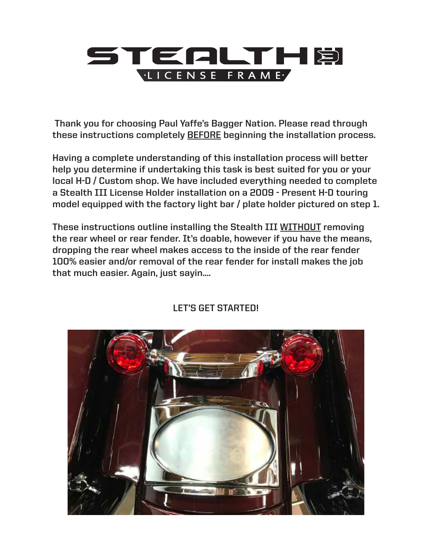# TEALTHE

 **Thank you for choosing Paul Yaffe's Bagger Nation. Please read through** 

these instructions completely <u>BEFORE</u> beginning the installation process.<br>Having a complete understanding of this installation process will better **Having a complete understanding of this installation process will better help you determine if undertaking this task is best suited for you or your local H-D / Custom shop. We have included everything needed to complete a Stealth III License Holder installation on a 2009 - Present H-D touring model equipped with the factory light bar / plate holder pictured on step 1.** 

**These instructions outline installing the Stealth III WITHOUT removing the rear wheel or rear fender. It's doable, however if you have the means, dropping the rear wheel makes access to the inside of the rear fender 100% easier and/or removal of the rear fender for install makes the job that much easier. Again, just sayin....** nstructions outline installing the Stealth III <u>WITHO</u><br>Myheel or rear fender. It's doable, however if you ha



#### **LET'S GET STARTED!**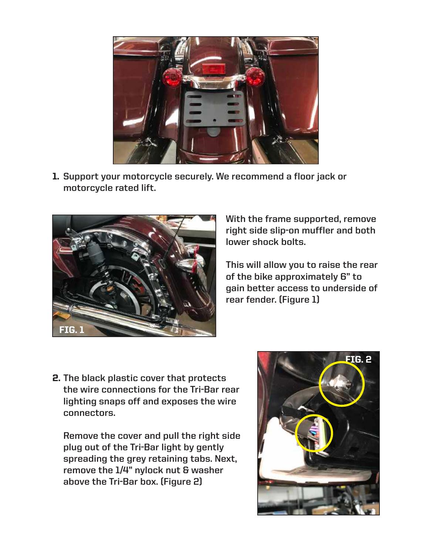

**Support your motorcycle securely. We recommend a floor jack or**  1. **motorcycle rated lift.** 



**With the frame supported, remove right side slip-on muffler and both lower shock bolts.** 

**This will allow you to raise the rear of the bike approximately 6" to gain better access to underside of rear fender. (Figure 1)**

**The black plastic cover that protects**  2. **the wire connections for the Tri-Bar rear lighting snaps off and exposes the wire connectors.** 

**Remove the cover and pull the right side plug out of the Tri-Bar light by gently spreading the grey retaining tabs. Next, remove the 1/4" nylock nut & washer above the Tri-Bar box. (Figure 2)**

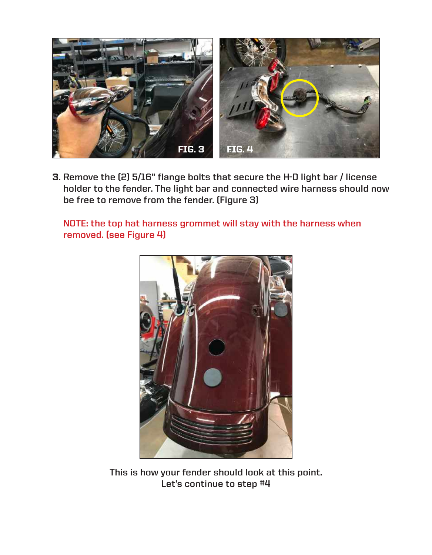

**Remove the (2) 5/16" flange bolts that secure the H-D light bar / license**  3. **holder to the fender. The light bar and connected wire harness should now be free to remove from the fender. (Figure 3)**

**NOTE: the top hat harness grommet will stay with the harness when removed. (see Figure 4)**



**This is how your fender should look at this point. Let's continue to step #4**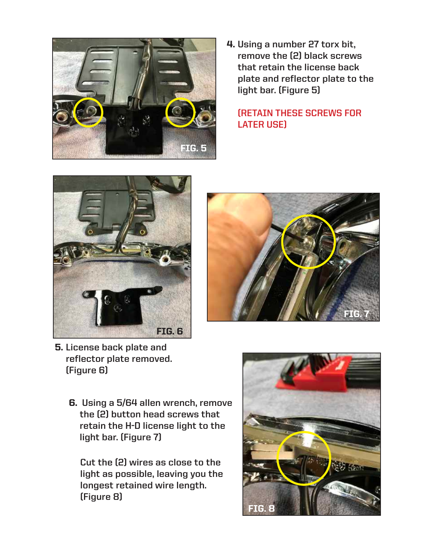

**Using a number 27 torx bit,**  4. **remove the (2) black screws that retain the license back plate and reflector plate to the light bar. (Figure 5)**

#### **(RETAIN THESE SCREWS FOR LATER USE)**





- **5.** License back plate and **reflector plate removed. (Figure 6)**
	- **Using a 5/64 allen wrench, remove**  6. **the (2) button head screws that retain the H-D license light to the light bar. (Figure 7)**

**Cut the (2) wires as close to the light as possible, leaving you the longest retained wire length. (Figure 8)**

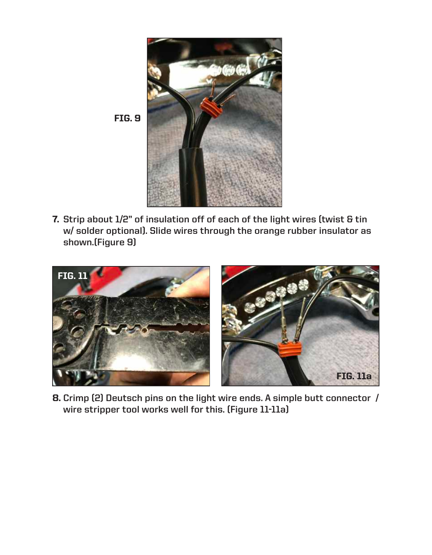

**Strip about 1/2" of insulation off of each of the light wires (twist & tin**  7. **w/ solder optional). Slide wires through the orange rubber insulator as shown.(Figure 9)**



**Crimp (2) Deutsch pins on the light wire ends. A simple butt connector /**  8. **wire stripper tool works well for this. (Figure 11-11a)**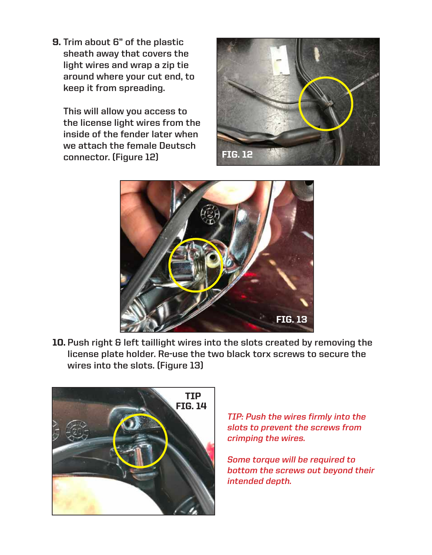**Trim about 6" of the plastic**  9. **sheath away that covers the light wires and wrap a zip tie around where your cut end, to keep it from spreading.** 

**This will allow you access to the license light wires from the inside of the fender later when we attach the female Deutsch connector. (Figure 12)**





**Push right & left taillight wires into the slots created by removing the**  10. **license plate holder. Re-use the two black torx screws to secure the wires into the slots. (Figure 13)**



**TIP: Push the wires firmly into the slots to prevent the screws from crimping the wires.**

**Some torque will be required to bottom the screws out beyond their intended depth.**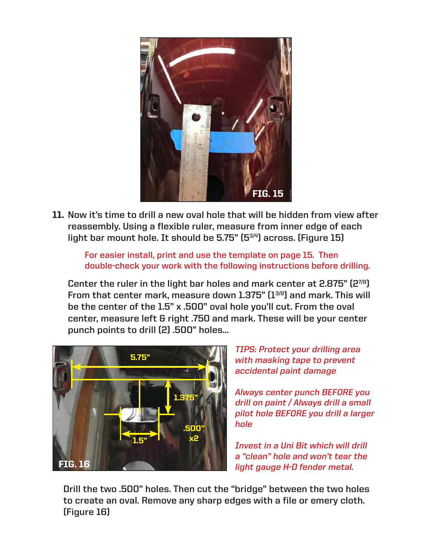

**Now it's time to drill a new oval hole that will be hidden from view after**  11. **reassembly. Using a flexible ruler, measure from inner edge of each light bar mount hole. It should be 5.75" (53/4) across. (Figure 15)**

**For easier install, print and use the template on page 15. Then double-check your work with the following instructions before drilling.**

**Center the ruler in the light bar holes and mark center at 2.875" (27/8) From that center mark, measure down 1.375" (13/8) and mark. This will be the center of the 1.5" x .500" oval hole you'll cut. From the oval center, measure left & right .750 and mark. These will be your center punch points to drill (2) .500" holes...**



**TIPS: Protect your drilling area with masking tape to prevent accidental paint damage**

**Always center punch BEFORE you drill on paint / Always drill a small pilot hole BEFORE you drill a larger hole** 

**Invest in a Uni Bit which will drill a "clean" hole and won't tear the light gauge H-D fender metal.**

**Drill the two .500" holes. Then cut the "bridge" between the two holes to create an oval. Remove any sharp edges with a file or emery cloth. (Figure 16)**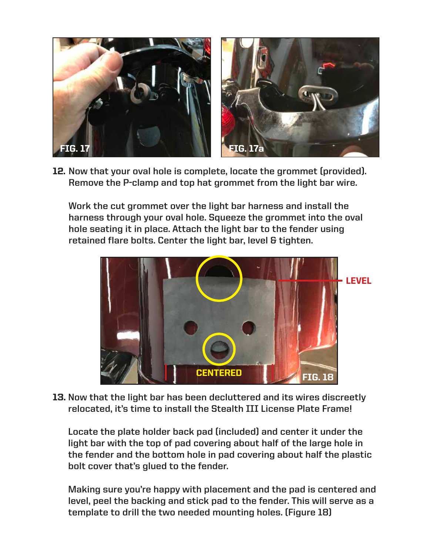

**Now that your oval hole is complete, locate the grommet (provided).**  12. **Remove the P-clamp and top hat grommet from the light bar wire.** 

**Work the cut grommet over the light bar harness and install the harness through your oval hole. Squeeze the grommet into the oval hole seating it in place. Attach the light bar to the fender using retained flare bolts. Center the light bar, level & tighten.**



**Now that the light bar has been decluttered and its wires discreetly**  13. **relocated, it's time to install the Stealth III License Plate Frame!** 

**Locate the plate holder back pad (included) and center it under the light bar with the top of pad covering about half of the large hole in the fender and the bottom hole in pad covering about half the plastic bolt cover that's glued to the fender.** 

**Making sure you're happy with placement and the pad is centered and level, peel the backing and stick pad to the fender. This will serve as a template to drill the two needed mounting holes. (Figure 18)**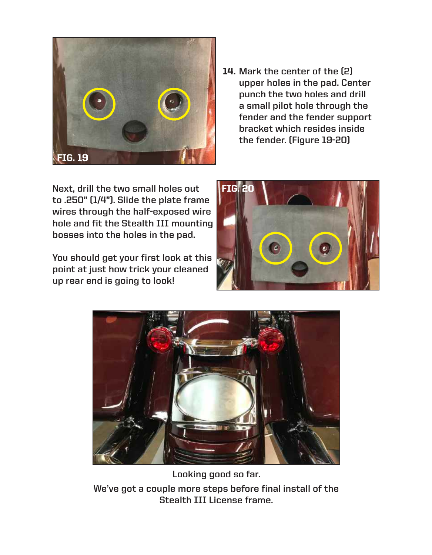

**Mark the center of the (2)**  14. **upper holes in the pad. Center punch the two holes and drill a small pilot hole through the fender and the fender support bracket which resides inside the fender. (Figure 19-20)**

**Next, drill the two small holes out to .250" (1/4"). Slide the plate frame wires through the half-exposed wire hole and fit the Stealth III mounting bosses into the holes in the pad.** 

**You should get your first look at this point at just how trick your cleaned up rear end is going to look!**





**Looking good so far.**

**We've got a couple more steps before final install of the Stealth III License frame.**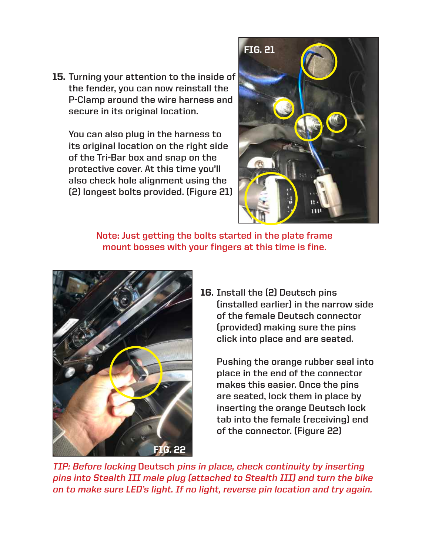**Turning your attention to the inside of**  15. **the fender, you can now reinstall the P-Clamp around the wire harness and secure in its original location.**

**You can also plug in the harness to its original location on the right side of the Tri-Bar box and snap on the protective cover. At this time you'll also check hole alignment using the (2) longest bolts provided. (Figure 21)**



**Note: Just getting the bolts started in the plate frame mount bosses with your fingers at this time is fine.**



**16.** Install the (2) Deutsch pins **(installed earlier) in the narrow side of the female Deutsch connector (provided) making sure the pins click into place and are seated.** 

**Pushing the orange rubber seal into place in the end of the connector makes this easier. Once the pins are seated, lock them in place by inserting the orange Deutsch lock tab into the female (receiving) end of the connector. (Figure 22)**

**TIP: Before locking Deutsch pins in place, check continuity by inserting pins into Stealth III male plug (attached to Stealth III) and turn the bike on to make sure LED's light. If no light, reverse pin location and try again.**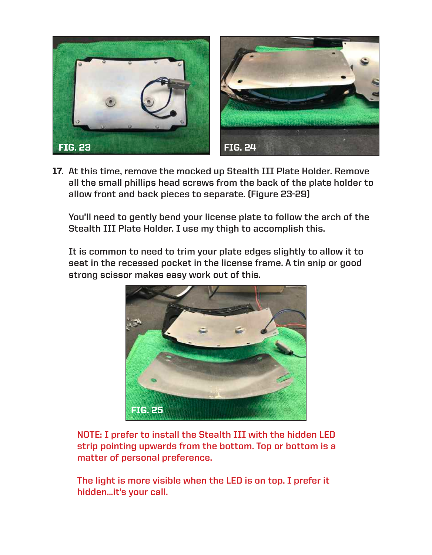

**At this time, remove the mocked up Stealth III Plate Holder. Remove**  17. **all the small phillips head screws from the back of the plate holder to allow front and back pieces to separate. (Figure 23-29)**

**You'll need to gently bend your license plate to follow the arch of the Stealth III Plate Holder. I use my thigh to accomplish this.**

**It is common to need to trim your plate edges slightly to allow it to seat in the recessed pocket in the license frame. A tin snip or good strong scissor makes easy work out of this.**



**NOTE: I prefer to install the Stealth III with the hidden LED strip pointing upwards from the bottom. Top or bottom is a matter of personal preference.** 

**The light is more visible when the LED is on top. I prefer it hidden...it's your call.**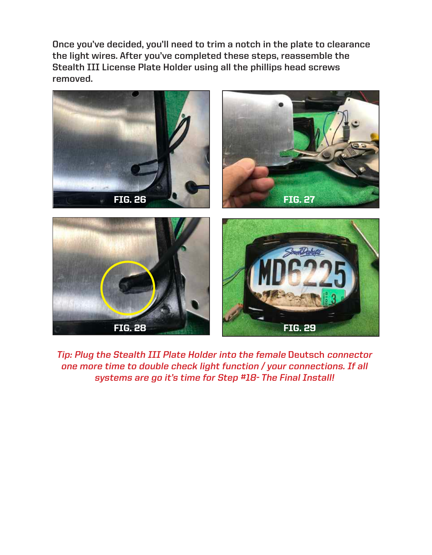**Once you've decided, you'll need to trim a notch in the plate to clearance the light wires. After you've completed these steps, reassemble the Stealth III License Plate Holder using all the phillips head screws removed.** 



**Tip: Plug the Stealth III Plate Holder into the female Deutsch connector one more time to double check light function / your connections. If all systems are go it's time for Step #18- The Final Install!**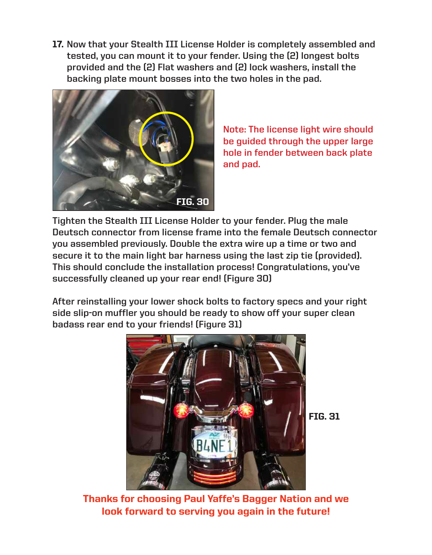**Now that your Stealth III License Holder is completely assembled and**  17. **tested, you can mount it to your fender. Using the (2) longest bolts provided and the (2) Flat washers and (2) lock washers, install the backing plate mount bosses into the two holes in the pad.** 



**Note: The license light wire should be guided through the upper large hole in fender between back plate and pad.**

**Tighten the Stealth III License Holder to your fender. Plug the male Deutsch connector from license frame into the female Deutsch connector you assembled previously. Double the extra wire up a time or two and secure it to the main light bar harness using the last zip tie (provided). This should conclude the installation process! Congratulations, you've successfully cleaned up your rear end! (Figure 30)**

**After reinstalling your lower shock bolts to factory specs and your right side slip-on muffler you should be ready to show off your super clean badass rear end to your friends! (Figure 31)**



FIG. 31

Thanks for choosing Paul Yaffe's Bagger Nation and we look forward to serving you again in the future!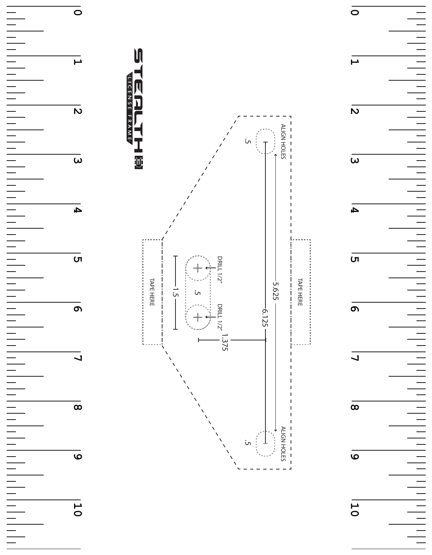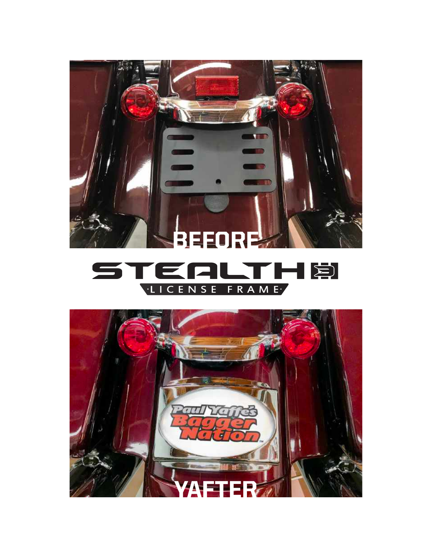

#### STRAME  $\cdot$  l П